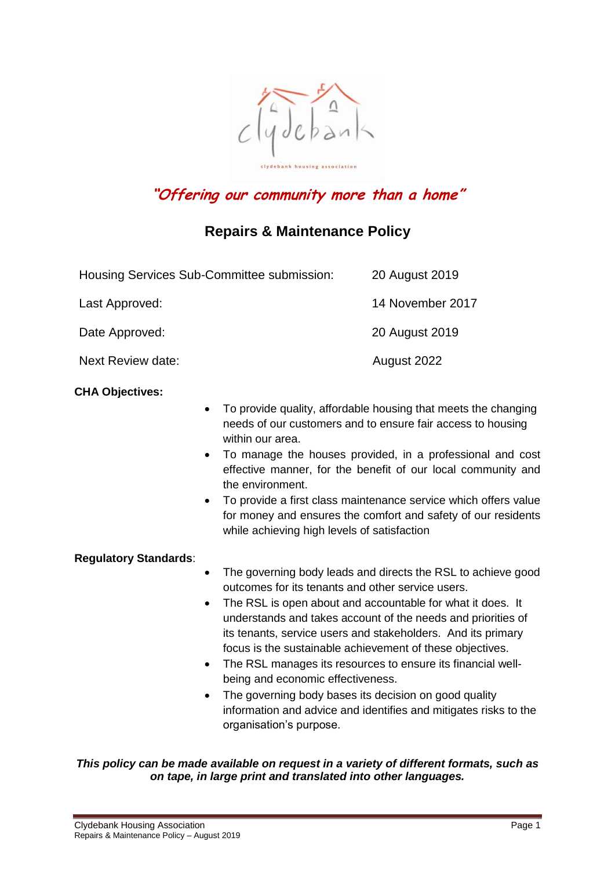

# **"Offering our community more than a home"**

## **Repairs & Maintenance Policy**

| Housing Services Sub-Committee submission: | 20 August 2019   |
|--------------------------------------------|------------------|
| Last Approved:                             | 14 November 2017 |
| Date Approved:                             | 20 August 2019   |
| Next Review date:                          | August 2022      |

#### **CHA Objectives:**

- To provide quality, affordable housing that meets the changing needs of our customers and to ensure fair access to housing within our area.
- To manage the houses provided, in a professional and cost effective manner, for the benefit of our local community and the environment.
- To provide a first class maintenance service which offers value for money and ensures the comfort and safety of our residents while achieving high levels of satisfaction

#### **Regulatory Standards**:

- The governing body leads and directs the RSL to achieve good outcomes for its tenants and other service users.
- The RSL is open about and accountable for what it does. It understands and takes account of the needs and priorities of its tenants, service users and stakeholders. And its primary focus is the sustainable achievement of these objectives.
- The RSL manages its resources to ensure its financial wellbeing and economic effectiveness.
- The governing body bases its decision on good quality information and advice and identifies and mitigates risks to the organisation's purpose.

#### *This policy can be made available on request in a variety of different formats, such as on tape, in large print and translated into other languages.*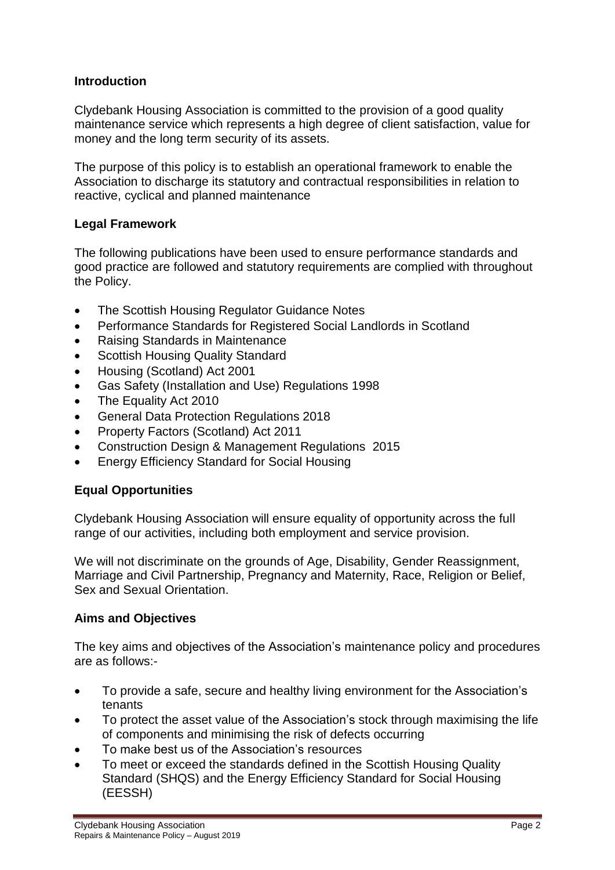## **Introduction**

Clydebank Housing Association is committed to the provision of a good quality maintenance service which represents a high degree of client satisfaction, value for money and the long term security of its assets.

The purpose of this policy is to establish an operational framework to enable the Association to discharge its statutory and contractual responsibilities in relation to reactive, cyclical and planned maintenance

## **Legal Framework**

The following publications have been used to ensure performance standards and good practice are followed and statutory requirements are complied with throughout the Policy.

- The Scottish Housing Regulator Guidance Notes
- Performance Standards for Registered Social Landlords in Scotland
- Raising Standards in Maintenance
- Scottish Housing Quality Standard
- Housing (Scotland) Act 2001
- Gas Safety (Installation and Use) Regulations 1998
- The Equality Act 2010
- General Data Protection Regulations 2018
- Property Factors (Scotland) Act 2011
- Construction Design & Management Regulations 2015
- Energy Efficiency Standard for Social Housing

#### **Equal Opportunities**

Clydebank Housing Association will ensure equality of opportunity across the full range of our activities, including both employment and service provision.

We will not discriminate on the grounds of Age, Disability, Gender Reassignment, Marriage and Civil Partnership, Pregnancy and Maternity, Race, Religion or Belief, Sex and Sexual Orientation.

#### **Aims and Objectives**

The key aims and objectives of the Association's maintenance policy and procedures are as follows:-

- To provide a safe, secure and healthy living environment for the Association's tenants
- To protect the asset value of the Association's stock through maximising the life of components and minimising the risk of defects occurring
- To make best us of the Association's resources
- To meet or exceed the standards defined in the Scottish Housing Quality Standard (SHQS) and the Energy Efficiency Standard for Social Housing (EESSH)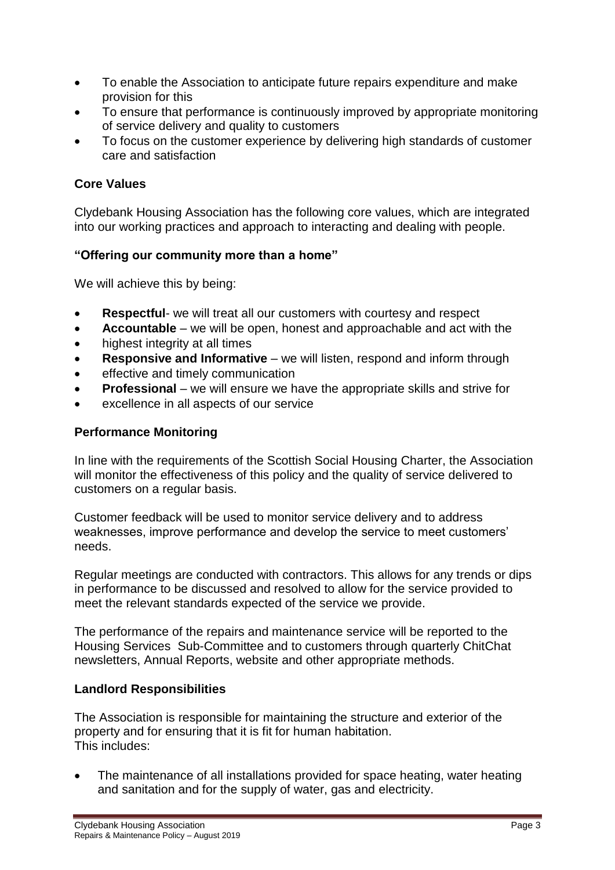- To enable the Association to anticipate future repairs expenditure and make provision for this
- To ensure that performance is continuously improved by appropriate monitoring of service delivery and quality to customers
- To focus on the customer experience by delivering high standards of customer care and satisfaction

## **Core Values**

Clydebank Housing Association has the following core values, which are integrated into our working practices and approach to interacting and dealing with people.

## **"Offering our community more than a home"**

We will achieve this by being:

- **Respectful** we will treat all our customers with courtesy and respect
- **Accountable**  we will be open, honest and approachable and act with the
- highest integrity at all times
- **Responsive and Informative**  we will listen, respond and inform through
- effective and timely communication
- **Professional** we will ensure we have the appropriate skills and strive for
- excellence in all aspects of our service

## **Performance Monitoring**

In line with the requirements of the Scottish Social Housing Charter, the Association will monitor the effectiveness of this policy and the quality of service delivered to customers on a regular basis.

Customer feedback will be used to monitor service delivery and to address weaknesses, improve performance and develop the service to meet customers' needs.

Regular meetings are conducted with contractors. This allows for any trends or dips in performance to be discussed and resolved to allow for the service provided to meet the relevant standards expected of the service we provide.

The performance of the repairs and maintenance service will be reported to the Housing Services Sub-Committee and to customers through quarterly ChitChat newsletters, Annual Reports, website and other appropriate methods.

## **Landlord Responsibilities**

The Association is responsible for maintaining the structure and exterior of the property and for ensuring that it is fit for human habitation. This includes:

• The maintenance of all installations provided for space heating, water heating and sanitation and for the supply of water, gas and electricity.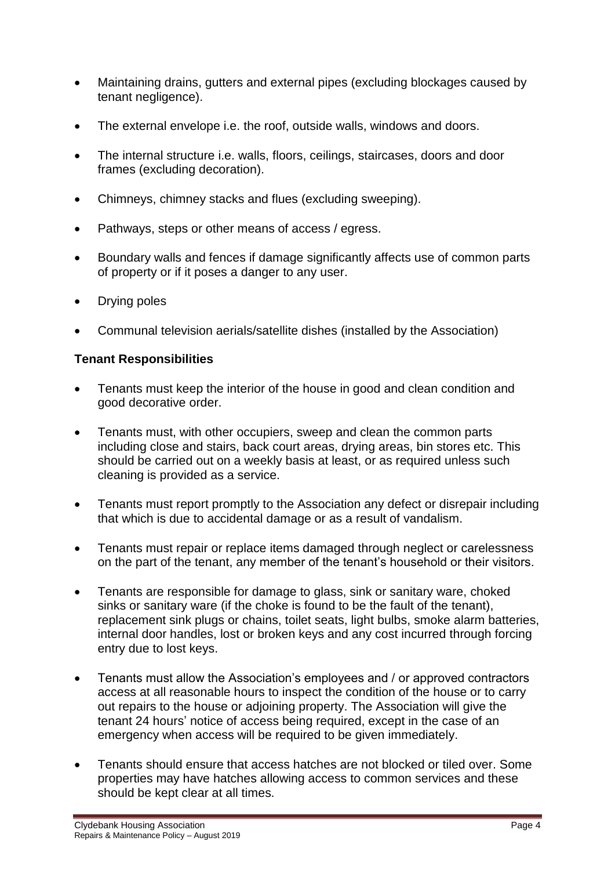- Maintaining drains, gutters and external pipes (excluding blockages caused by tenant negligence).
- The external envelope i.e. the roof, outside walls, windows and doors.
- The internal structure i.e. walls, floors, ceilings, staircases, doors and door frames (excluding decoration).
- Chimneys, chimney stacks and flues (excluding sweeping).
- Pathways, steps or other means of access / egress.
- Boundary walls and fences if damage significantly affects use of common parts of property or if it poses a danger to any user.
- Drying poles
- Communal television aerials/satellite dishes (installed by the Association)

## **Tenant Responsibilities**

- Tenants must keep the interior of the house in good and clean condition and good decorative order.
- Tenants must, with other occupiers, sweep and clean the common parts including close and stairs, back court areas, drying areas, bin stores etc. This should be carried out on a weekly basis at least, or as required unless such cleaning is provided as a service.
- Tenants must report promptly to the Association any defect or disrepair including that which is due to accidental damage or as a result of vandalism.
- Tenants must repair or replace items damaged through neglect or carelessness on the part of the tenant, any member of the tenant's household or their visitors.
- Tenants are responsible for damage to glass, sink or sanitary ware, choked sinks or sanitary ware (if the choke is found to be the fault of the tenant), replacement sink plugs or chains, toilet seats, light bulbs, smoke alarm batteries, internal door handles, lost or broken keys and any cost incurred through forcing entry due to lost keys.
- Tenants must allow the Association's employees and / or approved contractors access at all reasonable hours to inspect the condition of the house or to carry out repairs to the house or adjoining property. The Association will give the tenant 24 hours' notice of access being required, except in the case of an emergency when access will be required to be given immediately.
- Tenants should ensure that access hatches are not blocked or tiled over. Some properties may have hatches allowing access to common services and these should be kept clear at all times.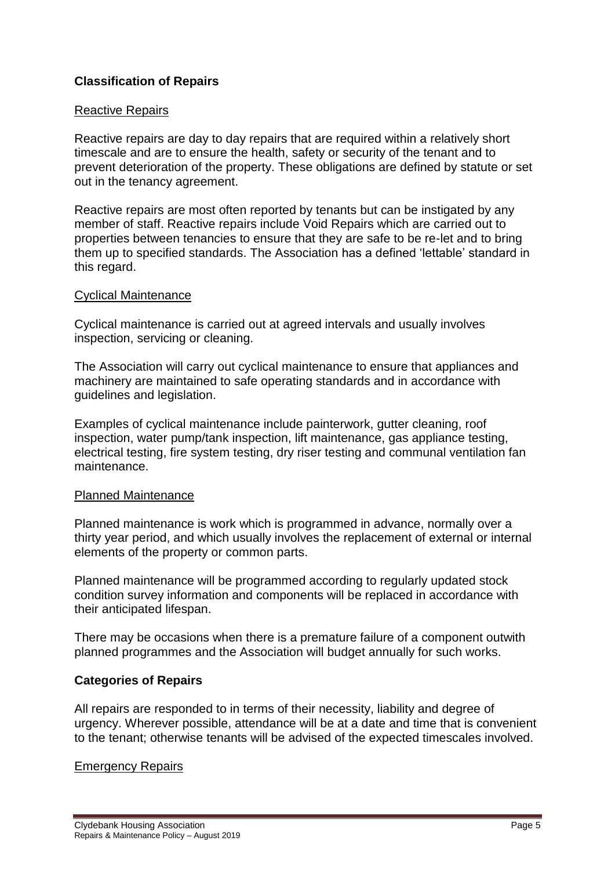## **Classification of Repairs**

#### Reactive Repairs

Reactive repairs are day to day repairs that are required within a relatively short timescale and are to ensure the health, safety or security of the tenant and to prevent deterioration of the property. These obligations are defined by statute or set out in the tenancy agreement.

Reactive repairs are most often reported by tenants but can be instigated by any member of staff. Reactive repairs include Void Repairs which are carried out to properties between tenancies to ensure that they are safe to be re-let and to bring them up to specified standards. The Association has a defined 'lettable' standard in this regard.

#### Cyclical Maintenance

Cyclical maintenance is carried out at agreed intervals and usually involves inspection, servicing or cleaning.

The Association will carry out cyclical maintenance to ensure that appliances and machinery are maintained to safe operating standards and in accordance with guidelines and legislation.

Examples of cyclical maintenance include painterwork, gutter cleaning, roof inspection, water pump/tank inspection, lift maintenance, gas appliance testing, electrical testing, fire system testing, dry riser testing and communal ventilation fan maintenance.

#### Planned Maintenance

Planned maintenance is work which is programmed in advance, normally over a thirty year period, and which usually involves the replacement of external or internal elements of the property or common parts.

Planned maintenance will be programmed according to regularly updated stock condition survey information and components will be replaced in accordance with their anticipated lifespan.

There may be occasions when there is a premature failure of a component outwith planned programmes and the Association will budget annually for such works.

## **Categories of Repairs**

All repairs are responded to in terms of their necessity, liability and degree of urgency. Wherever possible, attendance will be at a date and time that is convenient to the tenant; otherwise tenants will be advised of the expected timescales involved.

## Emergency Repairs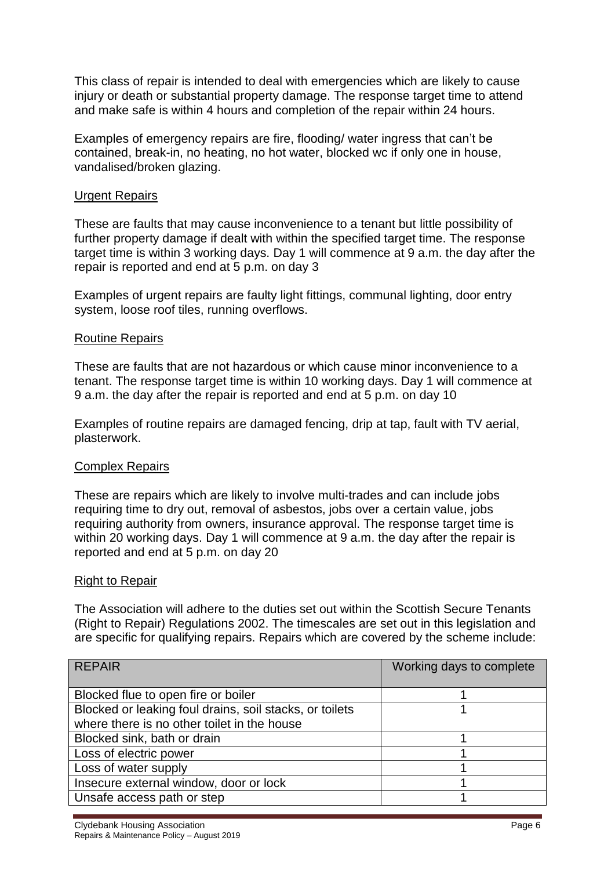This class of repair is intended to deal with emergencies which are likely to cause injury or death or substantial property damage. The response target time to attend and make safe is within 4 hours and completion of the repair within 24 hours.

Examples of emergency repairs are fire, flooding/ water ingress that can't be contained, break-in, no heating, no hot water, blocked wc if only one in house, vandalised/broken glazing.

#### Urgent Repairs

These are faults that may cause inconvenience to a tenant but little possibility of further property damage if dealt with within the specified target time. The response target time is within 3 working days. Day 1 will commence at 9 a.m. the day after the repair is reported and end at 5 p.m. on day 3

Examples of urgent repairs are faulty light fittings, communal lighting, door entry system, loose roof tiles, running overflows.

#### Routine Repairs

These are faults that are not hazardous or which cause minor inconvenience to a tenant. The response target time is within 10 working days. Day 1 will commence at 9 a.m. the day after the repair is reported and end at 5 p.m. on day 10

Examples of routine repairs are damaged fencing, drip at tap, fault with TV aerial, plasterwork.

#### Complex Repairs

These are repairs which are likely to involve multi-trades and can include jobs requiring time to dry out, removal of asbestos, jobs over a certain value, jobs requiring authority from owners, insurance approval. The response target time is within 20 working days. Day 1 will commence at 9 a.m. the day after the repair is reported and end at 5 p.m. on day 20

#### Right to Repair

The Association will adhere to the duties set out within the Scottish Secure Tenants (Right to Repair) Regulations 2002. The timescales are set out in this legislation and are specific for qualifying repairs. Repairs which are covered by the scheme include:

| <b>REPAIR</b>                                           | Working days to complete |
|---------------------------------------------------------|--------------------------|
|                                                         |                          |
| Blocked flue to open fire or boiler                     |                          |
| Blocked or leaking foul drains, soil stacks, or toilets |                          |
| where there is no other toilet in the house             |                          |
| Blocked sink, bath or drain                             |                          |
| Loss of electric power                                  |                          |
| Loss of water supply                                    |                          |
| Insecure external window, door or lock                  |                          |
| Unsafe access path or step                              |                          |
|                                                         |                          |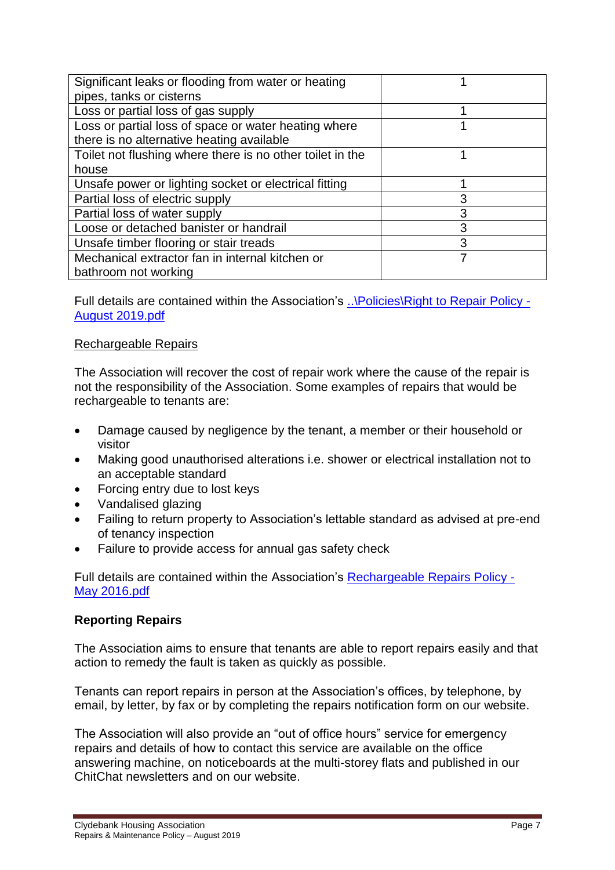| Significant leaks or flooding from water or heating       |   |
|-----------------------------------------------------------|---|
| pipes, tanks or cisterns                                  |   |
| Loss or partial loss of gas supply                        |   |
| Loss or partial loss of space or water heating where      |   |
| there is no alternative heating available                 |   |
| Toilet not flushing where there is no other toilet in the |   |
| house                                                     |   |
| Unsafe power or lighting socket or electrical fitting     |   |
| Partial loss of electric supply                           | 3 |
| Partial loss of water supply                              | 3 |
| Loose or detached banister or handrail                    | 3 |
| Unsafe timber flooring or stair treads                    | 3 |
| Mechanical extractor fan in internal kitchen or           |   |
| bathroom not working                                      |   |

Full details are contained within the Association's [..\Policies\Right to Repair Policy -](file://///cha-dc-01/users/Policy%20&%20Procedure%20Folder/Maintenance/Policies/Right%20to%20Repair%20Policy%20-%20August%202019.pdf) [August 2019.pdf](file://///cha-dc-01/users/Policy%20&%20Procedure%20Folder/Maintenance/Policies/Right%20to%20Repair%20Policy%20-%20August%202019.pdf)

## Rechargeable Repairs

The Association will recover the cost of repair work where the cause of the repair is not the responsibility of the Association. Some examples of repairs that would be rechargeable to tenants are:

- Damage caused by negligence by the tenant, a member or their household or visitor
- Making good unauthorised alterations i.e. shower or electrical installation not to an acceptable standard
- Forcing entry due to lost keys
- Vandalised glazing
- Failing to return property to Association's lettable standard as advised at pre-end of tenancy inspection
- Failure to provide access for annual gas safety check

Full details are contained within the Association's [Rechargeable Repairs Policy -](file://///cha-dc-01/users/Policy%20&%20Procedure%20Folder/Maintenance/Policies/Rechargeable%20Repairs%20Policy%20-%20May%202016.pdf) [May 2016.pdf](file://///cha-dc-01/users/Policy%20&%20Procedure%20Folder/Maintenance/Policies/Rechargeable%20Repairs%20Policy%20-%20May%202016.pdf)

## **Reporting Repairs**

The Association aims to ensure that tenants are able to report repairs easily and that action to remedy the fault is taken as quickly as possible.

Tenants can report repairs in person at the Association's offices, by telephone, by email, by letter, by fax or by completing the repairs notification form on our website.

The Association will also provide an "out of office hours" service for emergency repairs and details of how to contact this service are available on the office answering machine, on noticeboards at the multi-storey flats and published in our ChitChat newsletters and on our website.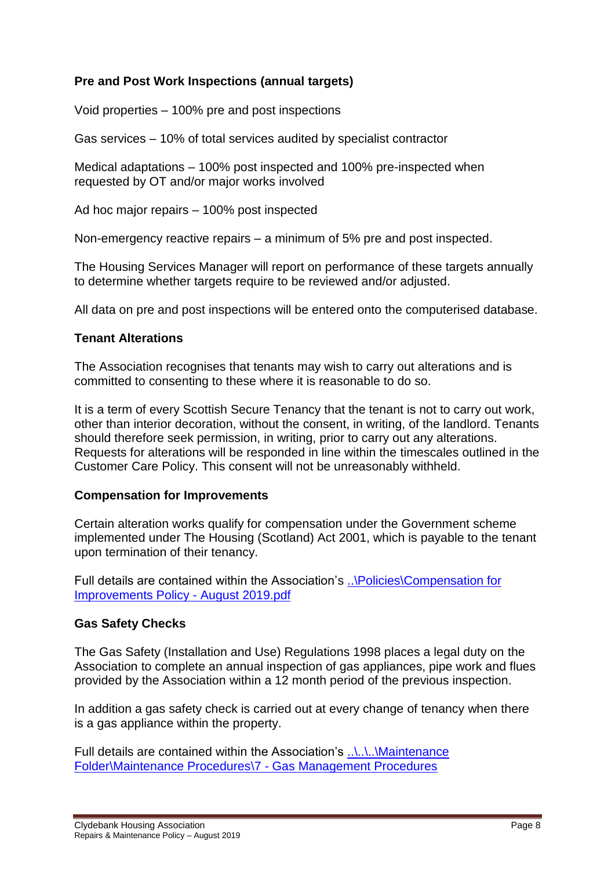## **Pre and Post Work Inspections (annual targets)**

Void properties – 100% pre and post inspections

Gas services – 10% of total services audited by specialist contractor

Medical adaptations – 100% post inspected and 100% pre-inspected when requested by OT and/or major works involved

Ad hoc major repairs – 100% post inspected

Non-emergency reactive repairs – a minimum of 5% pre and post inspected.

The Housing Services Manager will report on performance of these targets annually to determine whether targets require to be reviewed and/or adjusted.

All data on pre and post inspections will be entered onto the computerised database.

## **Tenant Alterations**

The Association recognises that tenants may wish to carry out alterations and is committed to consenting to these where it is reasonable to do so.

It is a term of every Scottish Secure Tenancy that the tenant is not to carry out work, other than interior decoration, without the consent, in writing, of the landlord. Tenants should therefore seek permission, in writing, prior to carry out any alterations. Requests for alterations will be responded in line within the timescales outlined in the Customer Care Policy. This consent will not be unreasonably withheld.

#### **Compensation for Improvements**

Certain alteration works qualify for compensation under the Government scheme implemented under The Housing (Scotland) Act 2001, which is payable to the tenant upon termination of their tenancy.

Full details are contained within the Association's [..\Policies\Compensation for](file://///cha-dc-01/users/Policy%20&%20Procedure%20Folder/Maintenance/Policies/Compensation%20for%20Improvements%20Policy%20-%20August%202019.pdf)  [Improvements Policy -](file://///cha-dc-01/users/Policy%20&%20Procedure%20Folder/Maintenance/Policies/Compensation%20for%20Improvements%20Policy%20-%20August%202019.pdf) August 2019.pdf

#### **Gas Safety Checks**

The Gas Safety (Installation and Use) Regulations 1998 places a legal duty on the Association to complete an annual inspection of gas appliances, pipe work and flues provided by the Association within a 12 month period of the previous inspection.

In addition a gas safety check is carried out at every change of tenancy when there is a gas appliance within the property.

Full details are contained within the Association's ..\..\..\Maintenance [Folder\Maintenance Procedures\7 -](file://///cha-dc-01/users/Maintenance%20Folder/Maintenance%20Procedures/7%20-%20Gas%20Management%20Procedures) Gas Management Procedures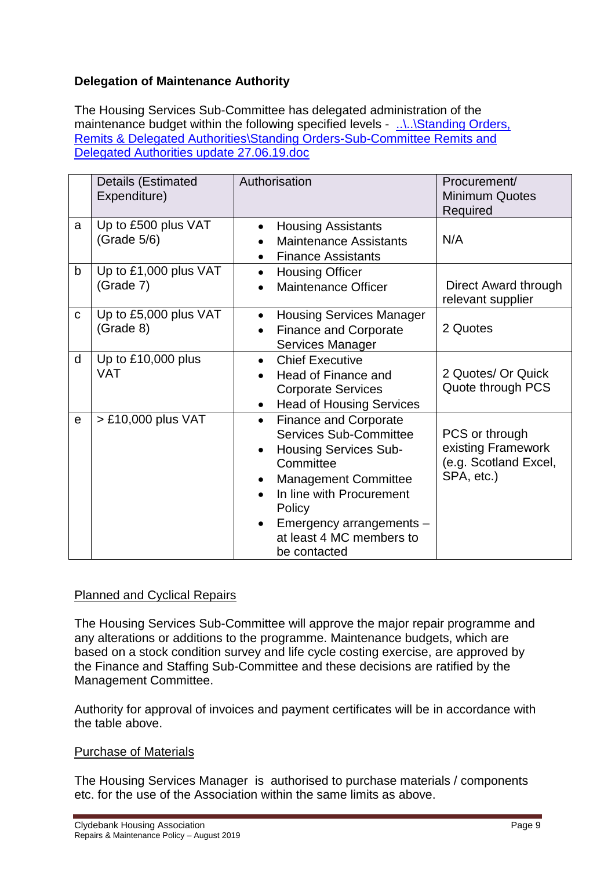## **Delegation of Maintenance Authority**

The Housing Services Sub-Committee has delegated administration of the maintenance budget within the following specified levels - ....\...\Standing Orders, [Remits & Delegated Authorities\Standing Orders-Sub-Committee Remits and](file://///cha-dc-01/users/Policy%20&%20Procedure%20Folder/Standing%20Orders,%20Remits%20&%20Delegated%20Authorities/Standing%20Orders-Sub-Committee%20Remits%20and%20Delegated%20Authorities%20update%2027.06.19.doc)  [Delegated Authorities update 27.06.19.doc](file://///cha-dc-01/users/Policy%20&%20Procedure%20Folder/Standing%20Orders,%20Remits%20&%20Delegated%20Authorities/Standing%20Orders-Sub-Committee%20Remits%20and%20Delegated%20Authorities%20update%2027.06.19.doc)

|              | Details (Estimated<br>Expenditure) | Authorisation                                                                                                                                                                                                                                                                     | Procurement/<br><b>Minimum Quotes</b><br>Required                           |
|--------------|------------------------------------|-----------------------------------------------------------------------------------------------------------------------------------------------------------------------------------------------------------------------------------------------------------------------------------|-----------------------------------------------------------------------------|
| a            | Up to £500 plus VAT<br>(Grade 5/6) | <b>Housing Assistants</b><br>$\bullet$<br><b>Maintenance Assistants</b><br><b>Finance Assistants</b><br>$\bullet$                                                                                                                                                                 | N/A                                                                         |
| b            | Up to £1,000 plus VAT<br>(Grade 7) | <b>Housing Officer</b><br>$\bullet$<br><b>Maintenance Officer</b>                                                                                                                                                                                                                 | Direct Award through<br>relevant supplier                                   |
| $\mathbf{C}$ | Up to £5,000 plus VAT<br>(Grade 8) | <b>Housing Services Manager</b><br><b>Finance and Corporate</b><br>$\bullet$<br>Services Manager                                                                                                                                                                                  | 2 Quotes                                                                    |
| d            | Up to £10,000 plus<br><b>VAT</b>   | <b>Chief Executive</b><br>$\bullet$<br>Head of Finance and<br><b>Corporate Services</b><br><b>Head of Housing Services</b><br>$\bullet$                                                                                                                                           | 2 Quotes/ Or Quick<br>Quote through PCS                                     |
| $\mathbf e$  | > £10,000 plus VAT                 | <b>Finance and Corporate</b><br>$\bullet$<br><b>Services Sub-Committee</b><br><b>Housing Services Sub-</b><br>$\bullet$<br>Committee<br><b>Management Committee</b><br>In line with Procurement<br>Policy<br>Emergency arrangements -<br>at least 4 MC members to<br>be contacted | PCS or through<br>existing Framework<br>(e.g. Scotland Excel,<br>SPA, etc.) |

## Planned and Cyclical Repairs

The Housing Services Sub-Committee will approve the major repair programme and any alterations or additions to the programme. Maintenance budgets, which are based on a stock condition survey and life cycle costing exercise, are approved by the Finance and Staffing Sub-Committee and these decisions are ratified by the Management Committee.

Authority for approval of invoices and payment certificates will be in accordance with the table above.

## Purchase of Materials

The Housing Services Manager is authorised to purchase materials / components etc. for the use of the Association within the same limits as above.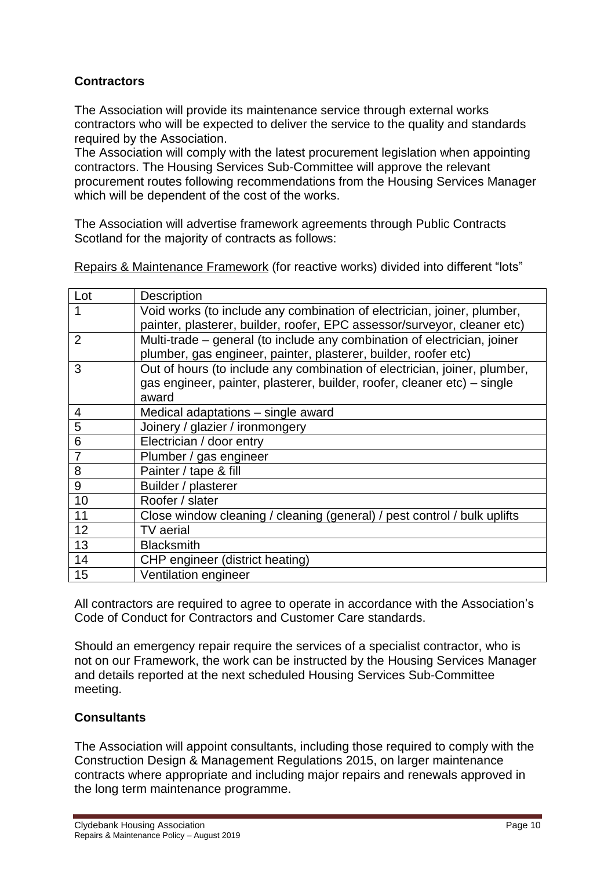## **Contractors**

The Association will provide its maintenance service through external works contractors who will be expected to deliver the service to the quality and standards required by the Association.

The Association will comply with the latest procurement legislation when appointing contractors. The Housing Services Sub-Committee will approve the relevant procurement routes following recommendations from the Housing Services Manager which will be dependent of the cost of the works.

The Association will advertise framework agreements through Public Contracts Scotland for the majority of contracts as follows:

| Lot            | <b>Description</b>                                                        |
|----------------|---------------------------------------------------------------------------|
|                | Void works (to include any combination of electrician, joiner, plumber,   |
|                | painter, plasterer, builder, roofer, EPC assessor/surveyor, cleaner etc)  |
| $\overline{2}$ | Multi-trade – general (to include any combination of electrician, joiner  |
|                | plumber, gas engineer, painter, plasterer, builder, roofer etc)           |
| 3              | Out of hours (to include any combination of electrician, joiner, plumber, |
|                | gas engineer, painter, plasterer, builder, roofer, cleaner etc) – single  |
|                | award                                                                     |
| 4              | Medical adaptations - single award                                        |
| 5              | Joinery / glazier / ironmongery                                           |
| 6              | Electrician / door entry                                                  |
| $\overline{7}$ | Plumber / gas engineer                                                    |
| 8              | Painter / tape & fill                                                     |
| 9              | Builder / plasterer                                                       |
| 10             | Roofer / slater                                                           |
| 11             | Close window cleaning / cleaning (general) / pest control / bulk uplifts  |
| 12             | <b>TV</b> aerial                                                          |
| 13             | <b>Blacksmith</b>                                                         |
| 14             | CHP engineer (district heating)                                           |
| 15             | Ventilation engineer                                                      |

Repairs & Maintenance Framework (for reactive works) divided into different "lots"

All contractors are required to agree to operate in accordance with the Association's Code of Conduct for Contractors and Customer Care standards.

Should an emergency repair require the services of a specialist contractor, who is not on our Framework, the work can be instructed by the Housing Services Manager and details reported at the next scheduled Housing Services Sub-Committee meeting.

## **Consultants**

The Association will appoint consultants, including those required to comply with the Construction Design & Management Regulations 2015, on larger maintenance contracts where appropriate and including major repairs and renewals approved in the long term maintenance programme.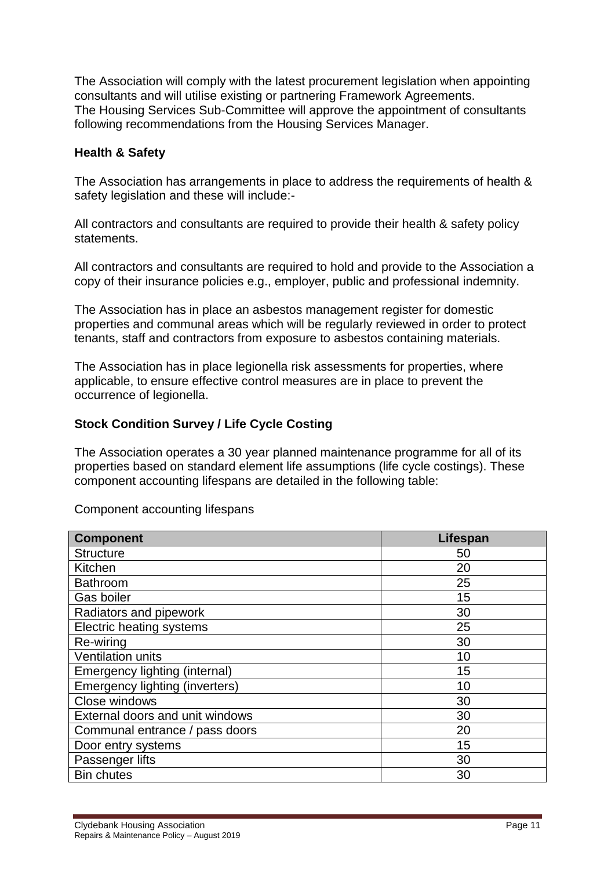The Association will comply with the latest procurement legislation when appointing consultants and will utilise existing or partnering Framework Agreements. The Housing Services Sub-Committee will approve the appointment of consultants following recommendations from the Housing Services Manager.

## **Health & Safety**

The Association has arrangements in place to address the requirements of health & safety legislation and these will include:-

All contractors and consultants are required to provide their health & safety policy statements.

All contractors and consultants are required to hold and provide to the Association a copy of their insurance policies e.g., employer, public and professional indemnity.

The Association has in place an asbestos management register for domestic properties and communal areas which will be regularly reviewed in order to protect tenants, staff and contractors from exposure to asbestos containing materials.

The Association has in place legionella risk assessments for properties, where applicable, to ensure effective control measures are in place to prevent the occurrence of legionella.

#### **Stock Condition Survey / Life Cycle Costing**

The Association operates a 30 year planned maintenance programme for all of its properties based on standard element life assumptions (life cycle costings). These component accounting lifespans are detailed in the following table:

| Component accounting lifespans |  |
|--------------------------------|--|
|--------------------------------|--|

| <b>Component</b>                | Lifespan |
|---------------------------------|----------|
| <b>Structure</b>                | 50       |
| Kitchen                         | 20       |
| <b>Bathroom</b>                 | 25       |
| Gas boiler                      | 15       |
| Radiators and pipework          | 30       |
| <b>Electric heating systems</b> | 25       |
| Re-wiring                       | 30       |
| <b>Ventilation units</b>        | 10       |
| Emergency lighting (internal)   | 15       |
| Emergency lighting (inverters)  | 10       |
| Close windows                   | 30       |
| External doors and unit windows | 30       |
| Communal entrance / pass doors  | 20       |
| Door entry systems              | 15       |
| Passenger lifts                 | 30       |
| <b>Bin chutes</b>               | 30       |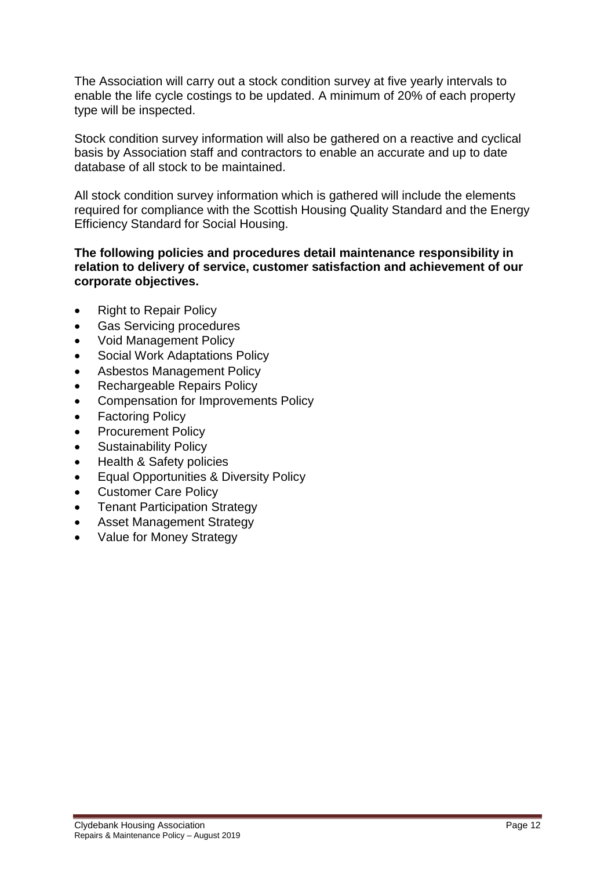The Association will carry out a stock condition survey at five yearly intervals to enable the life cycle costings to be updated. A minimum of 20% of each property type will be inspected.

Stock condition survey information will also be gathered on a reactive and cyclical basis by Association staff and contractors to enable an accurate and up to date database of all stock to be maintained.

All stock condition survey information which is gathered will include the elements required for compliance with the Scottish Housing Quality Standard and the Energy Efficiency Standard for Social Housing.

#### **The following policies and procedures detail maintenance responsibility in relation to delivery of service, customer satisfaction and achievement of our corporate objectives.**

- Right to Repair Policy
- Gas Servicing procedures
- Void Management Policy
- Social Work Adaptations Policy
- Asbestos Management Policy
- Rechargeable Repairs Policy
- Compensation for Improvements Policy
- Factoring Policy
- Procurement Policy
- Sustainability Policy
- Health & Safety policies
- Equal Opportunities & Diversity Policy
- Customer Care Policy
- Tenant Participation Strategy
- Asset Management Strategy
- Value for Money Strategy